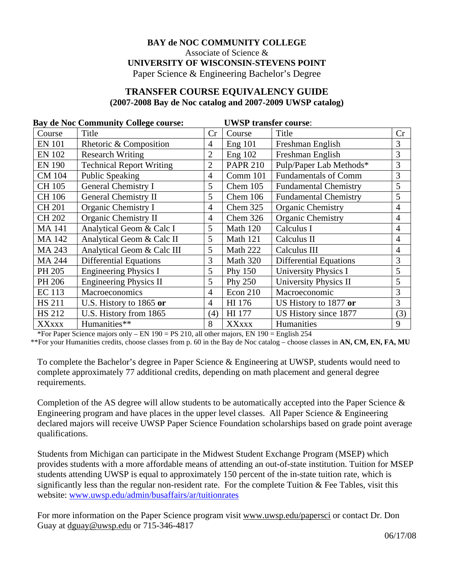## **BAY de NOC COMMUNITY COLLEGE**  Associate of Science & **UNIVERSITY OF WISCONSIN-STEVENS POINT**

Paper Science & Engineering Bachelor's Degree

## **TRANSFER COURSE EQUIVALENCY GUIDE (2007-2008 Bay de Noc catalog and 2007-2009 UWSP catalog)**

| <b>Bay de Noc Community College course:</b> |                                 |                | <b>UWSP transfer course:</b> |                               |                |  |
|---------------------------------------------|---------------------------------|----------------|------------------------------|-------------------------------|----------------|--|
| Course                                      | Title                           | Cr             | Course                       | Title                         | Cr             |  |
| <b>EN 101</b>                               | Rhetoric & Composition          | $\overline{4}$ | Eng 101                      | Freshman English              | 3              |  |
| <b>EN 102</b>                               | <b>Research Writing</b>         | $\overline{2}$ | Eng 102                      | Freshman English              | 3              |  |
| <b>EN 190</b>                               | <b>Technical Report Writing</b> | $\overline{2}$ | <b>PAPR 210</b>              | Pulp/Paper Lab Methods*       | 3              |  |
| <b>CM 104</b>                               | <b>Public Speaking</b>          | 4              | Comm 101                     | <b>Fundamentals of Comm</b>   | 3              |  |
| CH 105                                      | <b>General Chemistry I</b>      | 5              | Chem 105                     | <b>Fundamental Chemistry</b>  | 5              |  |
| CH 106                                      | <b>General Chemistry II</b>     | 5              | Chem 106                     | <b>Fundamental Chemistry</b>  | 5              |  |
| <b>CH 201</b>                               | Organic Chemistry I             | 4              | Chem 325                     | <b>Organic Chemistry</b>      | $\overline{4}$ |  |
| <b>CH 202</b>                               | Organic Chemistry II            | 4              | Chem 326                     | Organic Chemistry             | $\overline{4}$ |  |
| <b>MA141</b>                                | Analytical Geom & Calc I        | 5              | Math 120                     | Calculus I                    | $\overline{4}$ |  |
| <b>MA142</b>                                | Analytical Geom & Calc II       | 5              | Math 121                     | Calculus II                   | $\overline{4}$ |  |
| MA 243                                      | Analytical Geom & Calc III      | 5              | Math 222                     | Calculus III                  | $\overline{4}$ |  |
| <b>MA 244</b>                               | <b>Differential Equations</b>   | 3              | Math 320                     | <b>Differential Equations</b> | 3              |  |
| PH 205                                      | <b>Engineering Physics I</b>    | 5              | Phy 150                      | <b>University Physics I</b>   | 5              |  |
| PH 206                                      | <b>Engineering Physics II</b>   | 5              | Phy 250                      | <b>University Physics II</b>  | 5              |  |
| <b>EC</b> 113                               | Macroeconomics                  | 4              | Econ 210                     | Macroeconomic                 | 3              |  |
| <b>HS 211</b>                               | U.S. History to 1865 or         | 4              | HI 176                       | US History to 1877 or         | 3              |  |
| <b>HS 212</b>                               | U.S. History from 1865          | (4)            | HI 177                       | US History since 1877         | (3)            |  |
| <b>XXXXX</b>                                | Humanities**                    | 8              | <b>XXXXX</b>                 | Humanities                    | 9              |  |

\*For Paper Science majors only – EN  $190 = PS 210$ , all other majors, EN  $190 =$  English 254

\*\*For your Humanities credits, choose classes from p. 60 in the Bay de Noc catalog – choose classes in **AN, CM, EN, FA, MU**

To complete the Bachelor's degree in Paper Science & Engineering at UWSP, students would need to complete approximately 77 additional credits, depending on math placement and general degree requirements.

Completion of the AS degree will allow students to be automatically accepted into the Paper Science & Engineering program and have places in the upper level classes. All Paper Science & Engineering declared majors will receive UWSP Paper Science Foundation scholarships based on grade point average qualifications.

Students from Michigan can participate in the Midwest Student Exchange Program (MSEP) which provides students with a more affordable means of attending an out-of-state institution. Tuition for MSEP students attending UWSP is equal to approximately 150 percent of the in-state tuition rate, which is significantly less than the regular non-resident rate. For the complete Tuition & Fee Tables, visit this website: [www.uwsp.edu/admin/busaffairs/ar/tuitionrates](http://www.uwsp.edu/admin/busaffairs/ar/tuitionrates)

For more information on the Paper Science program visit www.uwsp.edu/papersci or contact Dr. Don Guay at dguay@uwsp.edu or 715-346-4817